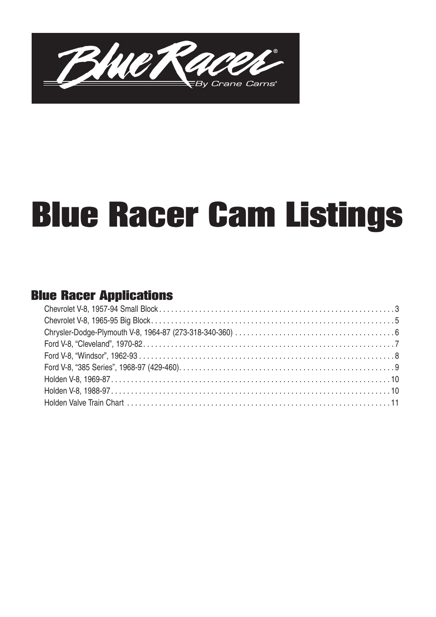

# **Blue Racer Cam Listings**

## **Blue Racer Applications**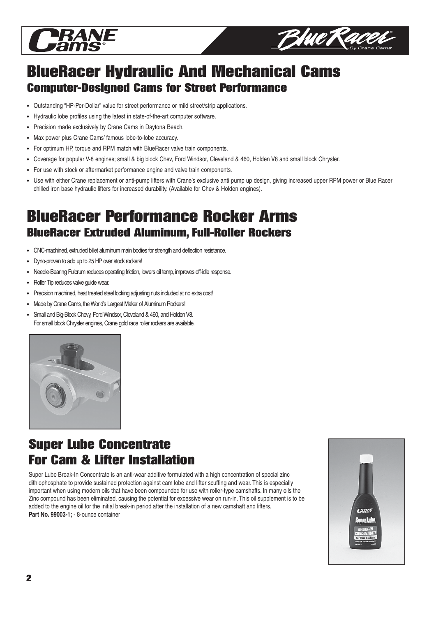



# **BlueRacer Hydraulic And Mechanical Cams Computer-Designed Cams for Street Performance**

- Outstanding "HP-Per-Dollar" value for street performance or mild street/strip applications.
- Hydraulic lobe profiles using the latest in state-of-the-art computer software.
- Precision made exclusively by Crane Cams in Daytona Beach.
- Max power plus Crane Cams' famous lobe-to-lobe accuracy.
- For optimum HP, torque and RPM match with BlueRacer valve train components.
- Coverage for popular V-8 engines; small & big block Chev, Ford Windsor, Cleveland & 460, Holden V8 and small block Chrysler.
- For use with stock or aftermarket performance engine and valve train components.
- Use with either Crane replacement or anti-pump lifters with Crane's exclusive anti pump up design, giving increased upper RPM power or Blue Racer chilled iron base hydraulic lifters for increased durability. (Available for Chev & Holden engines).

# **BlueRacer Performance Rocker Arms BlueRacer Extruded Aluminum, Full-Roller Rockers**

- CNC-machined, extruded billet aluminum main bodies for strength and deflection resistance.
- Dyno-proven to add up to 25 HP over stock rockers!
- Needle-Bearing Fulcrum reduces operating friction, lowers oil temp, improves off-idle response.
- Roller Tip reduces valve guide wear.
- Precision machined, heat treated steel locking adjusting nuts included at no extra cost!
- Made by Crane Cams, the World's Largest Maker of Aluminum Rockers!
- Small and Big-Block Chevy, Ford Windsor, Cleveland & 460, and Holden V8. For small block Chrysler engines, Crane gold race roller rockers are available.



# **Super Lube Concentrate For Cam & Lifter Installation**

Super Lube Break-In Concentrate is an anti-wear additive formulated with a high concentration of special zinc dithiophosphate to provide sustained protection against cam lobe and lifter scuffing and wear. This is especially important when using modern oils that have been compounded for use with roller-type camshafts. In many oils the Zinc compound has been eliminated, causing the potential for excessive wear on run-in. This oil supplement is to be added to the engine oil for the initial break-in period after the installation of a new camshaft and lifters. **Part No. 99003-1;** - 8-ounce container

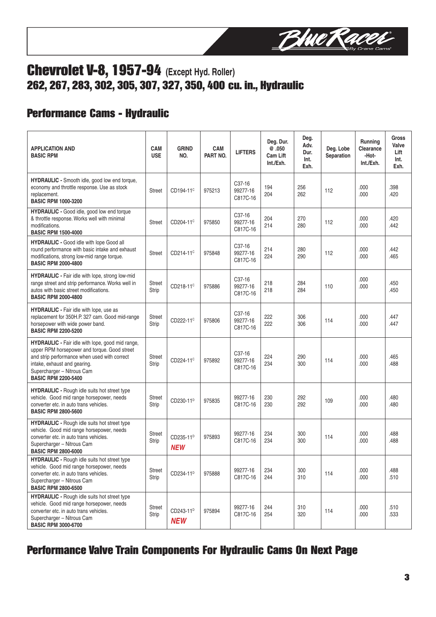

## **Chevrolet V-8, 1957-94 (Except Hyd. Roller) 262, 267, 283, 302, 305, 307, 327, 350, 400 cu. in., Hydraulic**

## **Performance Cams - Hydraulic**

| <b>APPLICATION AND</b><br><b>BASIC RPM</b>                                                                                                                                                                                                   | <b>CAM</b><br><b>USE</b> | <b>GRIND</b><br>NO.                 | <b>CAM</b><br>PART NO. | <b>LIFTERS</b>                              | Deg. Dur.<br>@.050<br><b>Cam Lift</b><br>Int./Exh. | Deg.<br>Adv.<br>Dur.<br>Int.<br>Exh. | Deg. Lobe<br>Separation | <b>Running</b><br>Clearance<br>-Hot-<br>Int./Exh. | <b>Gross</b><br>Valve<br>Lift<br>Int.<br>Exh. |
|----------------------------------------------------------------------------------------------------------------------------------------------------------------------------------------------------------------------------------------------|--------------------------|-------------------------------------|------------------------|---------------------------------------------|----------------------------------------------------|--------------------------------------|-------------------------|---------------------------------------------------|-----------------------------------------------|
| HYDRAULIC - Smooth idle, good low end torque,<br>economy and throttle response. Use as stock<br>replacement.<br><b>BASIC RPM 1000-3200</b>                                                                                                   | <b>Street</b>            | CD194-11 <sup>c</sup>               | 975213                 | C37-16<br>99277-16<br>C817C-16              | 194<br>204                                         | 256<br>262                           | 112                     | .000<br>.000                                      | .398<br>.420                                  |
| HYDRAULIC - Good idle, good low end torque<br>& throttle response. Works well with minimal<br>modifications.<br><b>BASIC RPM 1500-4000</b>                                                                                                   | <b>Street</b>            | CD204-11 <sup>c</sup>               | 975850                 | C <sub>37</sub> -16<br>99277-16<br>C817C-16 | 204<br>214                                         | 270<br>280                           | 112                     | .000<br>.000                                      | .420<br>.442                                  |
| <b>HYDRAULIC - Good idle with lope Good all</b><br>round performance with basic intake and exhaust<br>modifications, strong low-mid range torque.<br><b>BASIC RPM 2000-4800</b>                                                              | <b>Street</b>            | CD214-11 <sup>c</sup>               | 975848                 | C <sub>37</sub> -16<br>99277-16<br>C817C-16 | 214<br>224                                         | 280<br>290                           | 112                     | .000<br>.000                                      | .442<br>.465                                  |
| HYDRAULIC - Fair idle with lope, strong low-mid<br>range street and strip performance. Works well in<br>autos with basic street modifications.<br><b>BASIC RPM 2000-4800</b>                                                                 | <b>Street</b><br>Strip   | CD218-11 <sup>c</sup>               | 975886                 | C37-16<br>99277-16<br>C817C-16              | 218<br>218                                         | 284<br>284                           | 110                     | .000<br>.000                                      | .450<br>.450                                  |
| <b>HYDRAULIC</b> - Fair idle with lope, use as<br>replacement for 350H.P. 327 cam. Good mid-range<br>horsepower with wide power band.<br><b>BASIC RPM 2200-5200</b>                                                                          | <b>Street</b><br>Strip   | CD222-11 <sup>c</sup>               | 975806                 | C <sub>37</sub> -16<br>99277-16<br>C817C-16 | 222<br>222                                         | 306<br>306                           | 114                     | .000<br>.000                                      | .447<br>.447                                  |
| HYDRAULIC - Fair idle with lope, good mid range,<br>upper RPM horsepower and torque. Good street<br>and strip performance when used with correct<br>intake, exhaust and gearing.<br>Supercharger - Nitrous Cam<br><b>BASIC RPM 2200-5400</b> | <b>Street</b><br>Strip   | CD224-11 <sup>c</sup>               | 975892                 | C <sub>37</sub> -16<br>99277-16<br>C817C-16 | 224<br>234                                         | 290<br>300                           | 114                     | .000<br>.000                                      | .465<br>.488                                  |
| <b>HYDRAULIC</b> - Rough idle suits hot street type<br>vehicle. Good mid range horsepower, needs<br>converter etc. in auto trans vehicles.<br><b>BASIC RPM 2800-5600</b>                                                                     | <b>Street</b><br>Strip   | CD230-11 <sup>D</sup>               | 975835                 | 99277-16<br>C817C-16                        | 230<br>230                                         | 292<br>292                           | 109                     | .000<br>.000                                      | .480<br>.480                                  |
| <b>HYDRAULIC</b> - Rough idle suits hot street type<br>vehicle. Good mid range horsepower, needs<br>converter etc. in auto trans vehicles.<br>Supercharger - Nitrous Cam<br><b>BASIC RPM 2800-6000</b>                                       | <b>Street</b><br>Strip   | CD235-11 <sup>D</sup><br><b>NEW</b> | 975893                 | 99277-16<br>C817C-16                        | 234<br>234                                         | 300<br>300                           | 114                     | .000<br>.000                                      | .488<br>.488                                  |
| HYDRAULIC - Rough idle suits hot street type<br>vehicle. Good mid range horsepower, needs<br>converter etc. in auto trans vehicles.<br>Supercharger - Nitrous Cam<br><b>BASIC RPM 2800-6500</b>                                              | Street<br>Strip          | CD234-11 <sup>D</sup>               | 975888                 | 99277-16<br>C817C-16                        | 234<br>244                                         | 300<br>310                           | 114                     | .000<br>.000                                      | .488<br>.510                                  |
| <b>HYDRAULIC</b> - Rough idle suits hot street type<br>vehicle. Good mid range horsepower, needs<br>converter etc. in auto trans vehicles.<br>Supercharger - Nitrous Cam<br><b>BASIC RPM 3000-6700</b>                                       | <b>Street</b><br>Strip   | CD243-11 <sup>D</sup><br><b>NEW</b> | 975894                 | 99277-16<br>C817C-16                        | 244<br>254                                         | 310<br>320                           | 114                     | .000<br>.000                                      | .510<br>.533                                  |

## **Performance Valve Train Components For Hydraulic Cams On Next Page**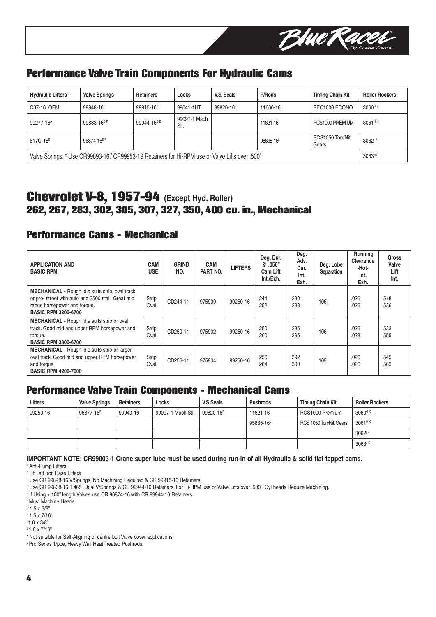

## **Performance Valve Train Components For Hydraulic Cams**

| <b>Hydraulic Lifters</b> | <b>Valve Springs</b>                                                                                     | <b>Retainers</b>       | Locks                | V.S. Seals | P/Rods    | <b>Timing Chain Kit</b>    | <b>Roller Rockers</b> |  |
|--------------------------|----------------------------------------------------------------------------------------------------------|------------------------|----------------------|------------|-----------|----------------------------|-----------------------|--|
| C37-16 OEM               | 99848-16 <sup>c</sup>                                                                                    | 99915-16 <sup>c</sup>  | 99041-1HT            | 99820-16F  | 11660-16  | REC1000 ECONO              | $3060$ <sup>G K</sup> |  |
| 99277-16 <sup>A</sup>    | 99838-16 <sup>DF</sup>                                                                                   | 99944-16 <sup>DE</sup> | 99097-1 Mach<br>Stl. |            | 11621-16  | RCS1000 PREMIUM            | $3061$ <sup>HK</sup>  |  |
| 817C-16 <sup>B</sup>     | 96874-16EF                                                                                               |                        |                      |            | 95635-16- | RCS1050 Torr/Nit.<br>Gears | 3062 <sup>1K</sup>    |  |
|                          | Valve Springs: * Use CR99893-16/ CR99953-19 Retainers for Hi-RPM use or Valve Lifts over .500"<br>3063zK |                        |                      |            |           |                            |                       |  |

## **Chevrolet V-8, 1957-94 (Except Hyd. Roller) 262, 267, 283, 302, 305, 307, 327, 350, 400 cu. in., Mechanical**

#### **Performance Cams - Mechanical**

| <b>APPLICATION AND</b><br><b>BASIC RPM</b>                                                                                                                                | <b>CAM</b><br><b>USE</b> | <b>GRIND</b><br>NO. | <b>CAM</b><br>PART NO. | <b>LIFTERS</b> | Deg. Dur.<br>@.050"<br>Cam Lift<br>Int./Exh. | Deg.<br>Adv.<br>Dur.<br>Int.<br>Exh. | Deg. Lobe<br>Separation | <b>Running</b><br>Clearance<br>-Hot-<br>Int.<br>Exh. | Gross<br>Valve<br>Lift<br>Int. |
|---------------------------------------------------------------------------------------------------------------------------------------------------------------------------|--------------------------|---------------------|------------------------|----------------|----------------------------------------------|--------------------------------------|-------------------------|------------------------------------------------------|--------------------------------|
| <b>MECHANICAL</b> - Rough idle suits strip, oval track<br>or pro-street with auto and 3500 stall. Great mid<br>range horsepower and torque.<br><b>BASIC RPM 3200-6700</b> | Strip<br>Oval            | CD244-11            | 975900                 | 99250-16       | 244<br>252                                   | 280<br>288                           | 106                     | .026<br>.026                                         | .518<br>.536                   |
| MECHANICAL - Rough idle suits strip or oval<br>track. Good mid and upper RPM horsepower and<br>torque.<br><b>BASIC RPM 3800-6700</b>                                      | Strip<br>Oval            | CD250-11            | 975902                 | 99250-16       | 250<br>260                                   | 285<br>295                           | 106                     | .026<br>.028                                         | .533<br>.555                   |
| <b>MECHANICAL - Rough idle suits strip or larger</b><br>oval track. Good mid and upper RPM horsepower<br>and torque.<br><b>BASIC RPM 4200-7000</b>                        | Strip<br>Oval            | CD256-11            | 975904                 | 99250-16       | 256<br>264                                   | 292<br>300                           | 105                     | .026<br>.026                                         | .545<br>.563                   |

#### **Performance Valve Train Components - Mechanical Cams**

| Lifters  | <b>Valve Springs</b> | <b>Retainers</b> | Locks             | V.S Seals | <b>Pushrods</b> | <b>Timing Chain Kit</b>  | <b>Roller Rockers</b> |
|----------|----------------------|------------------|-------------------|-----------|-----------------|--------------------------|-----------------------|
| 99250-16 | 96877-16F            | 99943-16         | 99097-1 Mach Stl. | 99820-16F | 11621-16        | RCS1000 Premium          | 3060 <sup>GK</sup>    |
|          |                      |                  |                   |           | $95635 - 16$    | RCS 1050 Torr/Nit, Gears | 3061 <sup>HK</sup>    |
|          |                      |                  |                   |           |                 |                          | 3062 <sup>1K</sup>    |
|          |                      |                  |                   |           |                 |                          | $3063$ <sup>JK</sup>  |

**IMPORTANT NOTE: CR99003-1 Crane super lube must be used during run-in of all Hydraulic & solid flat tappet cams.**

A Anti-Pump Lifters

**B** Chilled Iron Base Lifters

<sup>c</sup> Use CR 99848-16 V/Springs, No Machining Required & CR 99915-16 Retainers.

D Use CR 99838-16 1.465" Dual V/Springs & CR 99944-16 Retainers. For Hi-RPM use or Valve Lifts over .500". Cyl heads Require Machining.

E If Using +.100" length Valves use CR 96874-16 with CR 99944-16 Retainers.

F Must Machine Heads.

 $G$  1.5 x 3/8"

 $H$  1.5 x 7/16"

 $1.6 \times 3/8$ "

 $1.6 \times 7/16$ "

<sup>K</sup> Not suitable for Self-Aligning or centre bolt Valve cover applications.

L Pro Series 1/pce, Heavy Wall Heat Treated Pushrods.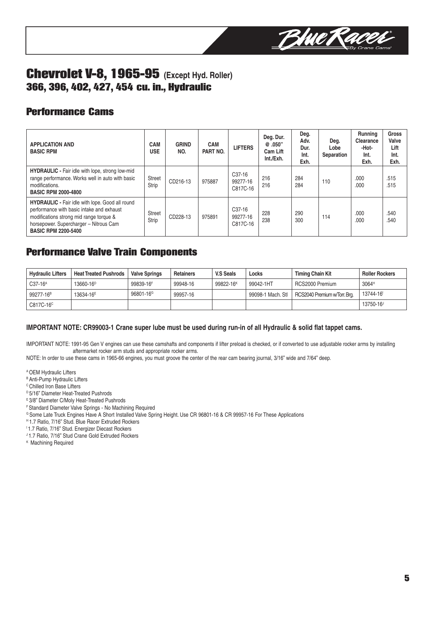

## **Chevrolet V-8, 1965-95 (Except Hyd. Roller) 366, 396, 402, 427, 454 cu. in., Hydraulic**

## **Performance Cams**

| <b>APPLICATION AND</b><br><b>BASIC RPM</b>                                                                                                                                                                             | <b>CAM</b><br><b>USE</b> | <b>GRIND</b><br>NO. | <b>CAM</b><br>PART NO. | <b>LIFTERS</b>                              | Deg. Dur.<br>@.050"<br>Cam Lift<br>Int./Exh. | Deg.<br>Adv.<br>Dur.<br>Int.<br>Exh. | Deg.<br>Lobe<br>Separation | <b>Running</b><br>Clearance<br>-Hot-<br>Int.<br>Exh. | Gross<br>Valve<br>Lift<br>Int.<br>Exh. |
|------------------------------------------------------------------------------------------------------------------------------------------------------------------------------------------------------------------------|--------------------------|---------------------|------------------------|---------------------------------------------|----------------------------------------------|--------------------------------------|----------------------------|------------------------------------------------------|----------------------------------------|
| <b>HYDRAULIC</b> - Fair idle with lope, strong low-mid<br>range performance. Works well in auto with basic<br>modifications.<br><b>BASIC RPM 2000-4800</b>                                                             | <b>Street</b><br>Strip   | CD216-13            | 975887                 | C37-16<br>99277-16<br>C817C-16              | 216<br>216                                   | 284<br>284                           | 110                        | .000<br>.000                                         | .515<br>.515                           |
| <b>HYDRAULIC</b> - Fair idle with lope. Good all round<br>performance with basic intake and exhaust<br>modifications strong mid range torque &<br>horsepower. Supercharger - Nitrous Cam<br><b>BASIC RPM 2200-5400</b> | <b>Street</b><br>Strip   | CD228-13            | 975891                 | C <sub>37</sub> -16<br>99277-16<br>C817C-16 | 228<br>238                                   | 290<br>300                           | 114                        | .000<br>.000                                         | .540<br>.540                           |

#### **Performance Valve Train Components**

| <b>Hydraulic Lifters</b> | <b>Heat Treated Pushrods</b> | <b>Valve Springs</b>  | <b>Retainers</b> | V.S Seals             | Locks             | <b>Timing Chain Kit</b>      | <b>Roller Rockers</b> |
|--------------------------|------------------------------|-----------------------|------------------|-----------------------|-------------------|------------------------------|-----------------------|
| C37-16 <sup>A</sup>      | 13660-16 <sup>D</sup>        | 99839-16F             | 99948-16         | 99822-16 <sup>K</sup> | 99042-1HT         | RCS2000 Premium              | 3064 <sup>H</sup>     |
| 99277-16 <sup>B</sup>    | 13634-16 <sup>E</sup>        | 96801-16 <sup>G</sup> | 99957-16         |                       | 99098-1 Mach. Stl | RCS2040 Premium w/Torr. Brg. | 13744-16              |
| C817C-16 <sup>c</sup>    |                              |                       |                  |                       |                   |                              | 13750-16 <sup>J</sup> |

#### **IMPORTANT NOTE: CR99003-1 Crane super lube must be used during run-in of all Hydraulic & solid flat tappet cams.**

IMPORTANT NOTE: 1991-95 Gen V engines can use these camshafts and components if lifter preload is checked, or if converted to use adjustable rocker arms by installing aftermarket rocker arm studs and appropriate rocker arms.

NOTE: In order to use these cams in 1965-66 engines, you must groove the center of the rear cam bearing journal, 3/16" wide and 7/64" deep.

A OEM Hydraulic Lifters

<sup>B</sup> Anti-Pump Hydraulic Lifters

C Chilled Iron Base Lifters

<sup>D</sup> 5/16" Diameter Heat-Treated Pushrods

E 3/8" Diameter C/Moly Heat-Treated Pushrods

F Standard Diameter Valve Springs - No Machining Required

<sup>G</sup> Some Late Truck Engines Have A Short Installed Valve Spring Height. Use CR 96801-16 & CR 99957-16 For These Applications

H 1.7 Ratio, 7/16" Stud. Blue Racer Extruded Rockers

<sup>1</sup>1.7 Ratio, 7/16" Stud. Energizer Diecast Rockers

<sup>J</sup> 1.7 Ratio, 7/16" Stud Crane Gold Extruded Rockers

K Machining Required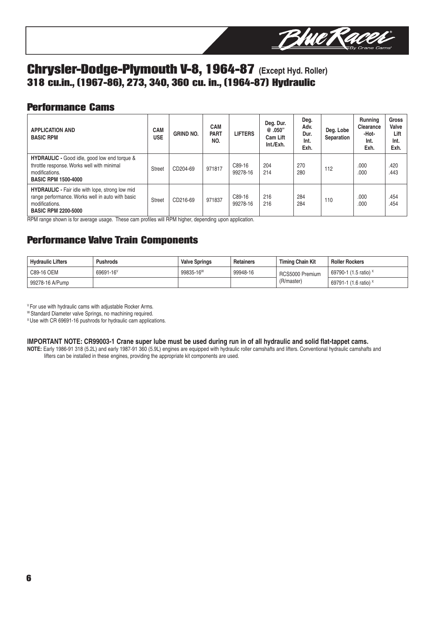

## **Chrysler-Dodge-Plymouth V-8, 1964-87 (Except Hyd. Roller) 318 cu.in., (1967-86), 273, 340, 360 cu. in., (1964-87) Hydraulic**

#### **Performance Cams**

| <b>APPLICATION AND</b><br><b>BASIC RPM</b>                                                                                                                 | <b>CAM</b><br><b>USE</b> | <b>GRIND NO.</b> | <b>CAM</b><br><b>PART</b><br>NO. | <b>LIFTERS</b>     | Deg. Dur.<br>@.050"<br>Cam Lift<br>Int./Exh. | Deg.<br>Adv.<br>Dur.<br>Int.<br>Exh. | Deg. Lobe<br>Separation | Running<br>Clearance<br>-Hot-<br>Int.<br>Exh. | <b>Gross</b><br>Valve<br>Lift<br>Int.<br>Exh. |
|------------------------------------------------------------------------------------------------------------------------------------------------------------|--------------------------|------------------|----------------------------------|--------------------|----------------------------------------------|--------------------------------------|-------------------------|-----------------------------------------------|-----------------------------------------------|
| <b>HYDRAULIC</b> - Good idle, good low end torque &<br>throttle response. Works well with minimal<br>modifications.<br><b>BASIC RPM 1500-4000</b>          | <b>Street</b>            | CD204-69         | 971817                           | C89-16<br>99278-16 | 204<br>214                                   | 270<br>280                           | 112                     | .000<br>.000                                  | .420<br>.443                                  |
| <b>HYDRAULIC</b> - Fair idle with lope, strong low mid<br>range performance. Works well in auto with basic<br>modifications.<br><b>BASIC RPM 2200-5000</b> | <b>Street</b>            | CD216-69         | 971837                           | C89-16<br>99278-16 | 216<br>216                                   | 284<br>284                           | 110                     | .000<br>.000                                  | .454<br>.454                                  |

RPM range shown is for average usage. These cam profiles will RPM higher, depending upon application.

## **Performance Valve Train Components**

| <b>Hydraulic Lifters</b> | <b>Pushrods</b>       | <b>Valve Springs</b>  | <b>Retainers</b> | Timing Chain Kit | <b>Roller Rockers</b>                      |
|--------------------------|-----------------------|-----------------------|------------------|------------------|--------------------------------------------|
| C89-16 OEM               | 69691-16 <sup>V</sup> | 99835-16 <sup>w</sup> | 99948-16         | RCS5000 Premium  | $\frac{1}{2}$ 69790-1 (1.5 ratio) $\times$ |
| 99278-16 A/Pump          |                       |                       |                  | (R/master)       | 69791-1 (1.6 ratio) ×                      |

V For use with hydraulic cams with adjustable Rocker Arms.

W Standard Diameter valve Springs, no machining required.

<sup>x</sup> Use with CR 69691-16 pushrods for hydraulic cam applications.

#### **IMPORTANT NOTE: CR99003-1 Crane super lube must be used during run in of all hydraulic and solid flat-tappet cams.**

**NOTE:** Early 1986-91 318 (5.2L) and early 1987-91 360 (5.9L) engines are equipped with hydraulic roller camshafts and lifters. Conventional hydraulic camshafts and lifters can be installed in these engines, providing the appropriate kit components are used.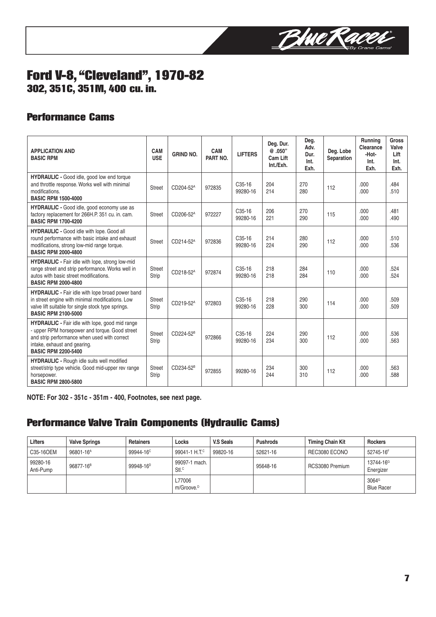

## **Ford V-8, "Cleveland", 1970-82 302, 351C, 351M, 400 cu. in.**

## **Performance Cams**

| <b>APPLICATION AND</b><br><b>BASIC RPM</b>                                                                                                                                                                      | CAM<br><b>USE</b>      | <b>GRIND NO.</b>      | CAM<br>PART NO. | <b>LIFTERS</b>                  | Deg. Dur.<br>@.050"<br>Cam Lift<br>Int./Exh. | Deq.<br>Adv.<br>Dur.<br>Int.<br>Exh. | Deg. Lobe<br>Separation | Running<br>Clearance<br>-Hot-<br>Int.<br>Exh. | <b>Gross</b><br>Valve<br>Lift<br>Int.<br>Exh. |
|-----------------------------------------------------------------------------------------------------------------------------------------------------------------------------------------------------------------|------------------------|-----------------------|-----------------|---------------------------------|----------------------------------------------|--------------------------------------|-------------------------|-----------------------------------------------|-----------------------------------------------|
| <b>HYDRAULIC</b> - Good idle, good low end torque<br>and throttle response. Works well with minimal<br>modifications.<br><b>BASIC RPM 1500-4000</b>                                                             | Street                 | CD204-52 <sup>A</sup> | 972835          | C <sub>35</sub> -16<br>99280-16 | 204<br>214                                   | 270<br>280                           | 112                     | .000<br>.000                                  | .484<br>.510                                  |
| HYDRAULIC - Good idle, good economy use as<br>factory replacement for 266H.P. 351 cu. in. cam.<br><b>BASIC RPM 1700-4200</b>                                                                                    | <b>Street</b>          | CD206-52 <sup>A</sup> | 972227          | C <sub>35</sub> -16<br>99280-16 | 206<br>221                                   | 270<br>290                           | 115                     | .000<br>.000                                  | .481<br>.490                                  |
| <b>HYDRAULIC - Good idle with lope. Good all</b><br>round performance with basic intake and exhaust<br>modifications, strong low-mid range torque.<br><b>BASIC RPM 2000-4800</b>                                | Street                 | CD214-52 <sup>A</sup> | 972836          | $C35-16$<br>99280-16            | 214<br>224                                   | 280<br>290                           | 112                     | .000<br>.000                                  | .510<br>.536                                  |
| <b>HYDRAULIC</b> - Fair idle with lope, strong low-mid<br>range street and strip performance. Works well in<br>autos with basic street modifications.<br><b>BASIC RPM 2000-4800</b>                             | <b>Street</b><br>Strip | CD218-52 <sup>A</sup> | 972874          | $C35-16$<br>99280-16            | 218<br>218                                   | 284<br>284                           | 110                     | .000<br>.000                                  | .524<br>.524                                  |
| <b>HYDRAULIC</b> - Fair idle with lope broad power band<br>in street engine with minimal modifications. Low<br>valve lift suitable for single stock type springs.<br><b>BASIC RPM 2100-5000</b>                 | <b>Street</b><br>Strip | CD219-52 <sup>A</sup> | 972803          | C <sub>35</sub> -16<br>99280-16 | 218<br>228                                   | 290<br>300                           | 114                     | .000<br>.000                                  | .509<br>.509                                  |
| HYDRAULIC - Fair idle with lope, good mid range<br>- upper RPM horsepower and torque. Good street<br>and strip performance when used with correct<br>intake, exhaust and gearing.<br><b>BASIC RPM 2200-5400</b> | <b>Street</b><br>Strip | CD224-52 <sup>B</sup> | 972866          | C <sub>35</sub> -16<br>99280-16 | 224<br>234                                   | 290<br>300                           | 112                     | .000<br>.000                                  | .536<br>.563                                  |
| <b>HYDRAULIC</b> - Rough idle suits well modified<br>street/strip type vehicle. Good mid-upper rev range<br>horsepower.<br><b>BASIC RPM 2800-5800</b>                                                           | <b>Street</b><br>Strip | CD234-52 <sup>B</sup> | 972855          | 99280-16                        | 234<br>244                                   | 300<br>310                           | 112                     | .000<br>.000                                  | .563<br>.588                                  |

**NOTE: For 302 - 351c - 351m - 400, Footnotes, see next page.**

## **Performance Valve Train Components (Hydraulic Cams)**

| Lifters               | <b>Valve Springs</b>  | <b>Retainers</b>      | Locks                              | V.S Seals | <b>Pushrods</b> | <b>Timing Chain Kit</b> | <b>Rockers</b>                           |
|-----------------------|-----------------------|-----------------------|------------------------------------|-----------|-----------------|-------------------------|------------------------------------------|
| C35-16OEM             | 96801-16 <sup>A</sup> | 99944-16 <sup>c</sup> | 99041-1 H.T. <sup>c</sup>          | 99820-16  | 52621-16        | REC3080 ECONO           | 52745-16F                                |
| 99280-16<br>Anti-Pump | 96877-16 <sup>B</sup> | 99948-16 <sup>D</sup> | 99097-1 mach.<br>Stl. <sup>C</sup> |           | 95648-16        | RCS3080 Premium         | 13744-16 <sup>G</sup><br>Energizer       |
|                       |                       |                       | L77006<br>m/Groove. <sup>D</sup>   |           |                 |                         | $3064$ <sup>G</sup><br><b>Blue Racer</b> |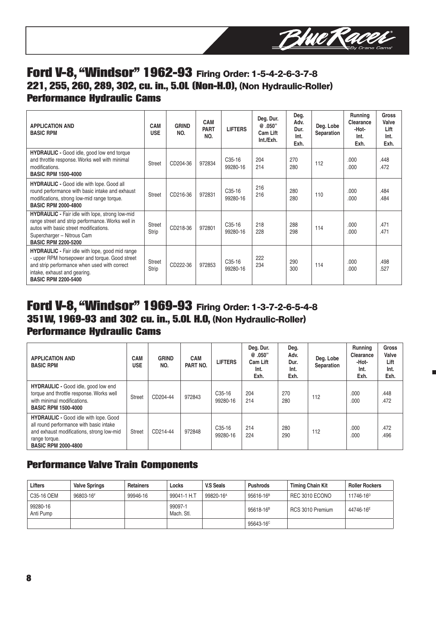

## **Ford V-8, "Windsor" 1962-93** Firing Order: 1-5-4-2-6-3-7-8 **221, 255, 260, 289, 302, cu. in., 5.0L (Non-H.O),** (Non Hydraulic-Roller) **Performance Hydraulic Cams**

| <b>APPLICATION AND</b><br><b>BASIC RPM</b>                                                                                                                                                                             | <b>CAM</b><br><b>USE</b> | <b>GRIND</b><br>NO. | <b>CAM</b><br><b>PART</b><br>NO. | <b>LIFTERS</b>                  | Deg. Dur.<br>@.050"<br>Cam Lift<br>Int./Exh. | Deg.<br>Adv.<br>Dur.<br>Int.<br>Exh. | Deg. Lobe<br>Separation | Running<br>Clearance<br>-Hot-<br>Int.<br>Exh. | <b>Gross</b><br>Valve<br>Lift<br>Int.<br>Exh. |
|------------------------------------------------------------------------------------------------------------------------------------------------------------------------------------------------------------------------|--------------------------|---------------------|----------------------------------|---------------------------------|----------------------------------------------|--------------------------------------|-------------------------|-----------------------------------------------|-----------------------------------------------|
| <b>HYDRAULIC</b> - Good idle, good low end torque<br>and throttle response. Works well with minimal<br>modifications.<br><b>BASIC RPM 1500-4000</b>                                                                    | <b>Street</b>            | CD204-36            | 972834                           | C <sub>35</sub> -16<br>99280-16 | 204<br>214                                   | 270<br>280                           | 112                     | .000<br>.000                                  | .448<br>.472                                  |
| <b>HYDRAULIC</b> - Good idle with lope. Good all<br>round performance with basic intake and exhaust<br>modifications, strong low-mid range torque.<br><b>BASIC RPM 2000-4800</b>                                       | <b>Street</b>            | CD216-36            | 972831                           | C <sub>35</sub> -16<br>99280-16 | 216<br>216                                   | 280<br>280                           | 110                     | .000.<br>.000.                                | .484<br>.484                                  |
| <b>HYDRAULIC</b> - Fair idle with lope, strong low-mid<br>range street and strip performance. Works well in<br>autos with basic street modifications.<br>Supercharger - Nitrous Cam<br><b>BASIC RPM 2200-5200</b>      | <b>Street</b><br>Strip   | CD218-36            | 972801                           | C <sub>35</sub> -16<br>99280-16 | 218<br>228                                   | 288<br>298                           | 114                     | .000<br>.000                                  | .471<br>.471                                  |
| <b>HYDRAULIC</b> - Fair idle with lope, good mid range<br>- upper RPM horsepower and torque. Good street<br>and strip performance when used with correct<br>intake, exhaust and gearing.<br><b>BASIC RPM 2200-5400</b> | <b>Street</b><br>Strip   | CD222-36            | 972853                           | C <sub>35</sub> -16<br>99280-16 | 222<br>234                                   | 290<br>300                           | 114                     | .000<br>.000                                  | .498<br>.527                                  |

## **Ford V-8, "Windsor" 1969-93** Firing Order: 1-3-7-2-6-5-4-8 **351W, 1969-93 and 302 cu. in., 5.0L H.O,** (Non Hydraulic-Roller) **Performance Hydraulic Cams**

| <b>APPLICATION AND</b><br><b>BASIC RPM</b>                                                                                                                                          | <b>CAM</b><br><b>USE</b> | <b>GRIND</b><br>NO. | <b>CAM</b><br>PART NO. | <b>LIFTERS</b>                  | Deg. Dur.<br>@.050"<br>Cam Lift<br>Int.<br>Exh. | Deg.<br>Adv.<br>Dur.<br>Int.<br>Exh. | Deg. Lobe<br>Separation | <b>Running</b><br><b>Clearance</b><br>-Hot-<br>Int.<br>Exh. | <b>Gross</b><br>Valve<br>Lift<br>Int.<br>Exh. |
|-------------------------------------------------------------------------------------------------------------------------------------------------------------------------------------|--------------------------|---------------------|------------------------|---------------------------------|-------------------------------------------------|--------------------------------------|-------------------------|-------------------------------------------------------------|-----------------------------------------------|
| <b>HYDRAULIC</b> - Good idle, good low end<br>torque and throttle response. Works well<br>with minimal modifications.<br><b>BASIC RPM 1500-4000</b>                                 | <b>Street</b>            | CD204-44            | 972843                 | C <sub>35</sub> -16<br>99280-16 | 204<br>214                                      | 270<br>280                           | 112                     | .000<br>.000                                                | .448<br>.472                                  |
| <b>HYDRAULIC - Good idle with lope. Good</b><br>all round performance with basic intake<br>and exhaust modifications, strong low-mid<br>range torque.<br><b>BASIC RPM 2000-4800</b> | Street                   | CD214-44            | 972848                 | C <sub>35</sub> -16<br>99280-16 | 214<br>224                                      | 280<br>290                           | 112                     | .000<br>.000                                                | .472<br>.496                                  |

## **Performance Valve Train Components**

| <b>Lifters</b>        | <b>Valve Springs</b> | <b>Retainers</b> | Locks                 | <b>V.S Seals</b>      | <b>Pushrods</b>       | <b>Timing Chain Kit</b> | <b>Roller Rockers</b> |
|-----------------------|----------------------|------------------|-----------------------|-----------------------|-----------------------|-------------------------|-----------------------|
| C35-16 OEM            | 96803-16F            | 99946-16         | 99041-1 H.T           | 99820-16 <sup>A</sup> | $95616 - 16^8$        | REC 3010 ECONO          | 11746-16 <sup>D</sup> |
| 99280-16<br>Anti Pump |                      |                  | 99097-1<br>Mach. Stl. |                       | 95618-16 <sup>B</sup> | RCS 3010 Premium        | 44746-16 <sup>E</sup> |
|                       |                      |                  |                       |                       | 95643-16 <sup>c</sup> |                         |                       |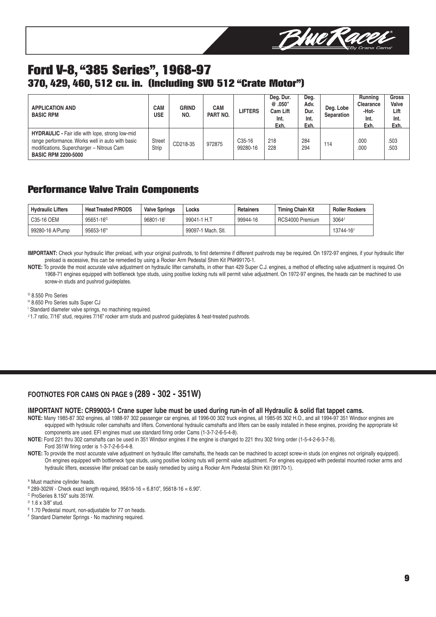

## **Ford V-8, "385 Series", 1968-97 370, 429, 460, 512 cu. in. (Including SVO 512 "Crate Motor")**

| <b>APPLICATION AND</b><br><b>BASIC RPM</b>                                                                                                                                            | CAM<br>USE             | <b>GRIND</b><br>NO. | <b>CAM</b><br>PART NO. | <b>LIFTERS</b>                  | Deg. Dur.<br>@.050"<br><b>Cam Lift</b><br>Int.<br>Exh. | Deg.<br>Adv.<br>Dur.<br>Int.<br>Exh. | Deg. Lobe<br>Separation | Running<br>Clearance<br>-Hot-<br>Int.<br>Exh. | <b>Gross</b><br>Valve<br>Lift<br>Int.<br>Exh. |
|---------------------------------------------------------------------------------------------------------------------------------------------------------------------------------------|------------------------|---------------------|------------------------|---------------------------------|--------------------------------------------------------|--------------------------------------|-------------------------|-----------------------------------------------|-----------------------------------------------|
| <b>HYDRAULIC</b> - Fair idle with lope, strong low-mid<br>range performance. Works well in auto with basic<br>modifications. Supercharger - Nitrous Cam<br><b>BASIC RPM 2200-5000</b> | <b>Street</b><br>Strip | CD218-35            | 972875                 | C <sub>35</sub> -16<br>99280-16 | 218<br>228                                             | 284<br>294                           | 114                     | .000<br>.000                                  | .503<br>.503                                  |

#### **Performance Valve Train Components**

| <b>Hydraulic Lifters</b> | <b>Heat Treated P/RODS</b> | <b>Valve Springs</b> | Locks              | <b>Retainers</b> | <b>Timing Chain Kit</b> | <b>Roller Rockers</b> |
|--------------------------|----------------------------|----------------------|--------------------|------------------|-------------------------|-----------------------|
| C35-16 OEM               | 95651-16 <sup>G</sup>      | 96801-16             | 99041-1 H.T        | 99944-16         | RCS4000 Premium         | 3064 <sup>J</sup>     |
| 99280-16 A/Pump          | 95653-16 <sup>H</sup>      |                      | 99097-1 Mach, Stl. |                  |                         | 13744-16 <sup>J</sup> |

IMPORTANT: Check your hydraulic lifter preload, with your original pushrods, to first determine if different pushrods may be required. On 1972-97 engines, if your hydraulic lifter preload is excessive, this can be remedied by using a Rocker Arm Pedestal Shim Kit PN#99170-1.

**NOTE:** To provide the most accurate valve adjustment on hydraulic lifter camshafts, in other than 429 Super C.J. engines, a method of effecting valve adjustment is required. On 1968-71 engines equipped with bottleneck type studs, using positive locking nuts will permit valve adjustment. On 1972-97 engines, the heads can be machined to use screw-in studs and pushrod guideplates.

<sup>G</sup> 8.550 Pro Series

H 8.650 Pro Series suits Super CJ

<sup>I</sup> Standard diameter valve springs, no machining required.

J1.7 ratio, 7/16" stud, requires 7/16" rocker arm studs and pushrod guideplates & heat-treated pushrods.

#### **FOOTNOTES FOR CAMS ON PAGE 9 (289 - 302 - 351W)**

#### **IMPORTANT NOTE: CR99003-1 Crane super lube must be used during run-in of all Hydraulic & solid flat tappet cams.**

- **NOTE:** Many 1985-87 302 engines, all 1988-97 302 passenger car engines, all 1996-00 302 truck engines, all 1985-95 302 H.O., and all 1994-97 351 Windsor engines are equipped with hydraulic roller camshafts and lifters. Conventional hydraulic camshafts and lifters can be easily installed in these engines, providing the appropriate kit components are used. EFI engines must use standard firing order Cams (1-3-7-2-6-5-4-8).
- **NOTE:** Ford 221 thru 302 camshafts can be used in 351 Windsor engines if the engine is changed to 221 thru 302 firing order (1-5-4-2-6-3-7-8). Ford 351W firing order is 1-3-7-2-6-5-4-8.
- **NOTE:** To provide the most accurate valve adjustment on hydraulic lifter camshafts, the heads can be machined to accept screw-in studs (on engines not originally equipped). On engines equipped with bottleneck type studs, using positive locking nuts will permit valve adjustment. For engines equipped with pedestal mounted rocker arms and hydraulic lifters, excessive lifter preload can be easily remedied by using a Rocker Arm Pedestal Shim Kit (99170-1).

A Must machine cylinder heads.

 $B$  289-302W - Check exact length required, 95616-16 = 6.810", 95618-16 = 6.90".

C ProSeries 8.150" suits 351W.

 $D$  1.6 x 3/8" stud.

E 1.70 Pedestal mount, non-adjustable for 77 on heads.

F Standard Diameter Springs - No machining required.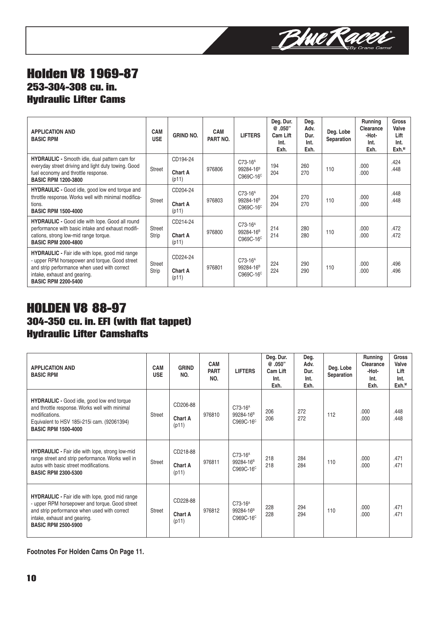

## **Holden V8 1969-87 253-304-308 cu. in. Hydraulic Lifter Cams**

| <b>APPLICATION AND</b><br><b>BASIC RPM</b>                                                                                                                                                                             | <b>CAM</b><br><b>USE</b> | <b>GRIND NO.</b>                    | <b>CAM</b><br>PART NO. | <b>LIFTERS</b>                                              | Deg. Dur.<br>@.050"<br>Cam Lift<br>Int.<br>Exh. | Deg.<br>Adv.<br>Dur.<br>Int.<br>Exh. | Deg. Lobe<br>Separation | <b>Running</b><br>Clearance<br>-Hot-<br>Int.<br>Exh. | <b>Gross</b><br>Valve<br>Lift<br>Int.<br>Exh. <sup>M</sup> |
|------------------------------------------------------------------------------------------------------------------------------------------------------------------------------------------------------------------------|--------------------------|-------------------------------------|------------------------|-------------------------------------------------------------|-------------------------------------------------|--------------------------------------|-------------------------|------------------------------------------------------|------------------------------------------------------------|
| <b>HYDRAULIC</b> - Smooth idle, dual pattern cam for<br>everyday street driving and light duty towing. Good<br>fuel economy and throttle response.<br><b>BASIC RPM 1200-3800</b>                                       | Street                   | CD194-24<br><b>Chart A</b><br>(p11) | 976806                 | $C73-16A$<br>99284-16 <sup>B</sup><br>C969C-16 <sup>c</sup> | 194<br>204                                      | 260<br>270                           | 110                     | .000<br>.000                                         | .424<br>.448                                               |
| <b>HYDRAULIC</b> - Good idle, good low end torque and<br>throttle response. Works well with minimal modifica-<br>tions.<br><b>BASIC RPM 1500-4000</b>                                                                  | <b>Street</b>            | CD204-24<br><b>Chart A</b><br>(p11) | 976803                 | $C73-16A$<br>99284-16 <sup>B</sup><br>C969C-16 <sup>c</sup> | 204<br>204                                      | 270<br>270                           | 110                     | .000<br>.000                                         | .448<br>.448                                               |
| <b>HYDRAULIC - Good idle with lope. Good all round</b><br>performance with basic intake and exhaust modifi-<br>cations, strong low-mid range torque.<br><b>BASIC RPM 2000-4800</b>                                     | <b>Street</b><br>Strip   | CD214-24<br><b>Chart A</b><br>(p11) | 976800                 | $C73-16A$<br>99284-16 <sup>B</sup><br>C969C-16 <sup>C</sup> | 214<br>214                                      | 280<br>280                           | 110                     | .000<br>.000                                         | .472<br>.472                                               |
| <b>HYDRAULIC</b> - Fair idle with lope, good mid range<br>- upper RPM horsepower and torque. Good street<br>and strip performance when used with correct<br>intake, exhaust and gearing.<br><b>BASIC RPM 2200-5400</b> | <b>Street</b><br>Strip   | CD224-24<br><b>Chart A</b><br>(p11) | 976801                 | $C73-16A$<br>99284-16 <sup>B</sup><br>C969C-16 <sup>c</sup> | 224<br>224                                      | 290<br>290                           | 110                     | .000<br>.000                                         | .496<br>.496                                               |

## **HOLDEN V8 88-97 304-350 cu. in. EFI (with flat tappet) Hydraulic Lifter Camshafts**

| <b>APPLICATION AND</b><br><b>BASIC RPM</b>                                                                                                                                                                             | <b>CAM</b><br><b>USE</b> | <b>GRIND</b><br>NO.          | <b>CAM</b><br><b>PART</b><br>NO. | <b>LIFTERS</b>                                              | Deg. Dur.<br>@.050"<br>Cam Lift<br>Int.<br>Exh. | Deg.<br>Adv.<br>Dur.<br>Int.<br>Exh. | Deg. Lobe<br>Separation | Running<br>Clearance<br>-Hot-<br>Int.<br>Exh. | <b>Gross</b><br>Valve<br>Lift<br>Int.<br>Exh <sup>M</sup> |
|------------------------------------------------------------------------------------------------------------------------------------------------------------------------------------------------------------------------|--------------------------|------------------------------|----------------------------------|-------------------------------------------------------------|-------------------------------------------------|--------------------------------------|-------------------------|-----------------------------------------------|-----------------------------------------------------------|
| <b>HYDRAULIC</b> - Good idle, good low end torque<br>and throttle response. Works well with minimal<br>modifications.<br>Equivalent to HSV 185i-215i cam. (92061394)<br><b>BASIC RPM 1500-4000</b>                     | <b>Street</b>            | CD206-88<br>Chart A<br>(p11) | 976810                           | $C73-16A$<br>99284-16 <sup>B</sup><br>C969C-16 <sup>C</sup> | 206<br>206                                      | 272<br>272                           | 112                     | .000<br>.000                                  | .448<br>.448                                              |
| <b>HYDRAULIC</b> - Fair idle with lope, strong low-mid<br>range street and strip performance. Works well in<br>autos with basic street modifications.<br><b>BASIC RPM 2300-5300</b>                                    | <b>Street</b>            | CD218-88<br>Chart A<br>(p11) | 976811                           | $C73-16A$<br>99284-16 <sup>B</sup><br>C969C-16 <sup>c</sup> | 218<br>218                                      | 284<br>284                           | 110                     | .000<br>.000                                  | .471<br>.471                                              |
| <b>HYDRAULIC</b> - Fair idle with lope, good mid range<br>- upper RPM horsepower and torque. Good street<br>and strip performance when used with correct<br>intake, exhaust and gearing.<br><b>BASIC RPM 2500-5900</b> | <b>Street</b>            | CD228-88<br>Chart A<br>(p11) | 976812                           | $C73-16A$<br>99284-16 <sup>B</sup><br>C969C-16 <sup>c</sup> | 228<br>228                                      | 294<br>294                           | 110                     | .000<br>.000                                  | .471<br>.471                                              |

**Footnotes For Holden Cams On Page 11.**